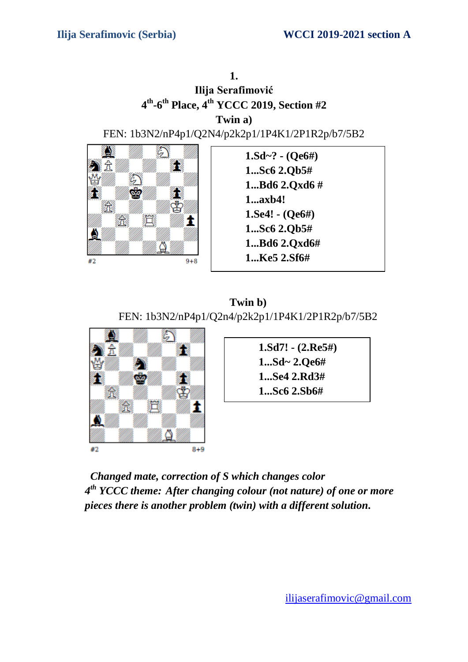

**Twin b)**  FEN: 1b3N2/nP4p1/Q2n4/p2k2p1/1P4K1/2P1R2p/b7/5B2



**1.Sd7! - (2.Re5#) 1...Sd~ 2.Qe6# 1...Se4 2.Rd3# 1...Sc6 2.Sb6#**

 *Changed mate, correction of S which changes color 4 th YCCC theme: After changing colour (not nature) of one or more pieces there is another problem (twin) with a different solution.*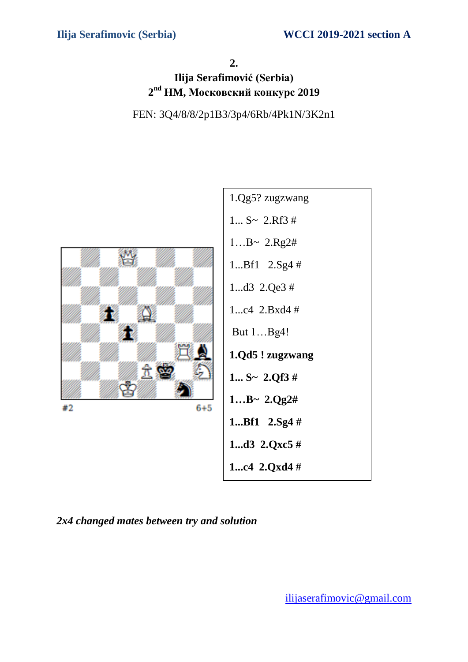#### **2.**

# **Ilija Serafimović (Serbia) 2 nd HM, Московский конкурс 2019**





*2x4 changed mates between try and solution*

[ilijaserafimovic@gmail.com](mailto:ilijaserafimovic@gmail.com)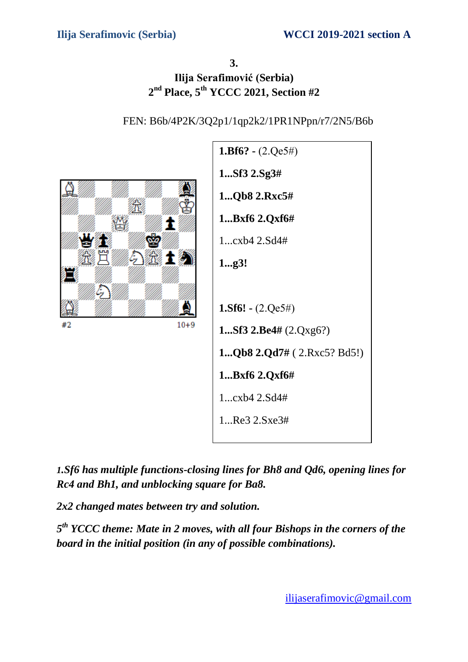# **3. Ilija Serafimović (Serbia) 2 nd Place, 5 th YCCC 2021, Section #2**

### FEN: B6b/4P2K/3Q2p1/1qp2k2/1PR1NPpn/r7/2N5/B6b



*1.Sf6 has multiple functions-closing lines for Bh8 and Qd6, opening lines for Rc4 and Bh1, and unblocking square for Ba8.*

*2x2 changed mates between try and solution.*

*5 th YCCC theme: Mate in 2 moves, with all four Bishops in the corners of the board in the initial position (in any of possible combinations).*